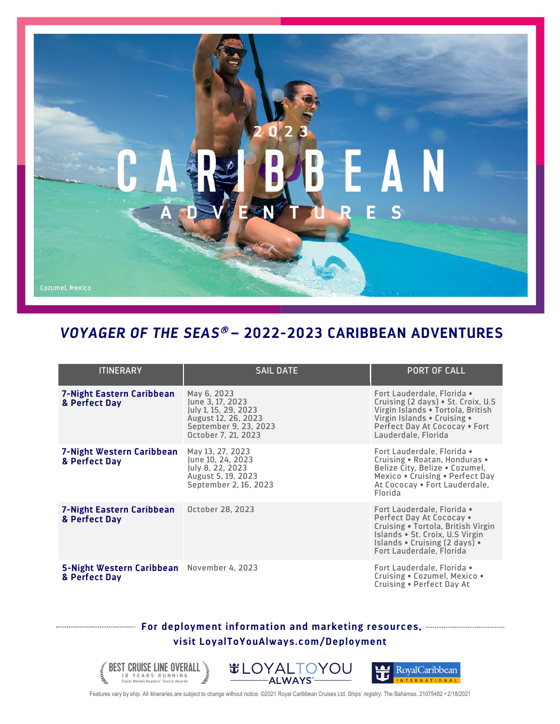## EAN E<sub>S</sub>

## *VOYAGER OF THE SEAS*<sup>â</sup> **– 2022-2023 CARIBBEAN ADVENTURES**

| <b>ITINERARY</b>                                            | <b>SAIL DATE</b>                                                                                                               | <b>PORT OF CALL</b>                                                                                                                                                                          |
|-------------------------------------------------------------|--------------------------------------------------------------------------------------------------------------------------------|----------------------------------------------------------------------------------------------------------------------------------------------------------------------------------------------|
|                                                             |                                                                                                                                |                                                                                                                                                                                              |
| <b>7-Night Eastern Caribbean</b><br>& Perfect Day           | May 6, 2023<br>June 3, 17, 2023<br>July 1, 15, 29, 2023<br>August 12, 26, 2023<br>September 9, 23, 2023<br>October 7, 21, 2023 | Fort Lauderdale, Florida •<br>Cruising (2 days) • St. Croix, U.S<br>Virgin Islands . Tortola, British<br>Virgin Islands • Cruising •<br>Perfect Day At Cococay . Fort<br>Lauderdale, Florida |
| <b>7-Night Western Caribbean</b><br>& Perfect Day           | May 13, 27, 2023<br>June 10, 24, 2023<br>July 8, 22, 2023<br>August 5, 19, 2023<br>September 2, 16, 2023                       | Fort Lauderdale, Florida .<br>Cruising . Roatan, Honduras .<br>Belize City, Belize . Cozumel,<br>Mexico . Cruising . Perfect Day<br>At Cococay • Fort Lauderdale,<br>Florida                 |
| 7-Night Eastern Caribbean<br>& Perfect Day                  | October 28, 2023                                                                                                               | Fort Lauderdale, Florida .<br>Perfect Day At Cococay •<br>Cruising . Tortola, British Virgin<br>Islands . St. Croix, U.S Virgin<br>Islands . Cruising (2 days) .<br>Fort Lauderdale, Florida |
| 5-Night Western Caribbean November 4, 2023<br>& Perfect Day |                                                                                                                                | Fort Lauderdale, Florida .<br>Cruising . Cozumel, Mexico .<br>Cruising . Perfect Day At                                                                                                      |

## **For deployment information and marketing resources, visit LoyalToYouAlways.com/Deployment**





Features vary by ship. All itineraries are subject to change without notice. ©2021 Royal Caribbean Cruises Ltd. Ships' registry: The Bahamas. 21075482 • 2/18/2021

BEST CRUISE LINE OVERALL 18 YEARS RUNNING *Travel Weekly* Readers' Choice Awards